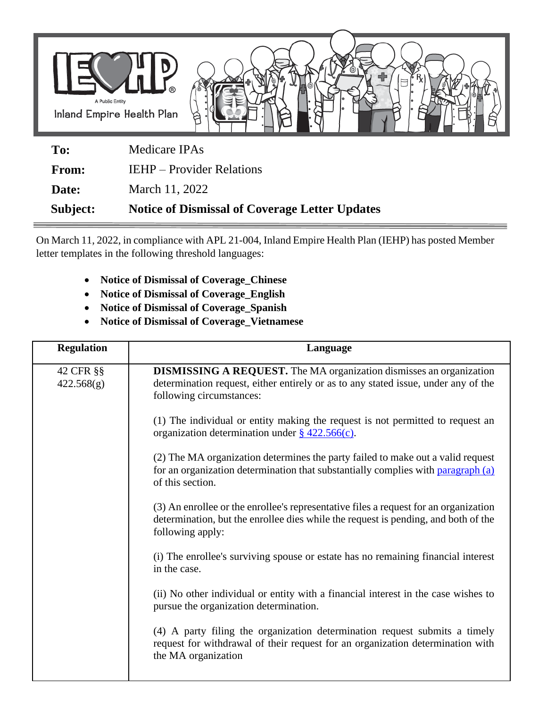

**To:** Medicare IPAs

**From:** IEHP – Provider Relations

**Date:** March 11, 2022

 $\equiv$ 

 **Subject: Notice of Dismissal of Coverage Letter Updates**

On March 11, 2022, in compliance with APL 21-004, Inland Empire Health Plan (IEHP) has posted Member letter templates in the following threshold languages:

- **Notice of Dismissal of Coverage\_Chinese**
- **Notice of Dismissal of Coverage\_English**
- **Notice of Dismissal of Coverage\_Spanish**
- **Notice of Dismissal of Coverage\_Vietnamese**

| <b>Regulation</b>       | Language                                                                                                                                                                                       |
|-------------------------|------------------------------------------------------------------------------------------------------------------------------------------------------------------------------------------------|
| 42 CFR §§<br>422.568(g) | <b>DISMISSING A REQUEST.</b> The MA organization dismisses an organization<br>determination request, either entirely or as to any stated issue, under any of the<br>following circumstances:   |
|                         | (1) The individual or entity making the request is not permitted to request an<br>organization determination under $\S$ 422.566(c).                                                            |
|                         | (2) The MA organization determines the party failed to make out a valid request<br>for an organization determination that substantially complies with paragraph (a)<br>of this section.        |
|                         | (3) An enrollee or the enrollee's representative files a request for an organization<br>determination, but the enrollee dies while the request is pending, and both of the<br>following apply: |
|                         | (i) The enrollee's surviving spouse or estate has no remaining financial interest<br>in the case.                                                                                              |
|                         | (ii) No other individual or entity with a financial interest in the case wishes to<br>pursue the organization determination.                                                                   |
|                         | (4) A party filing the organization determination request submits a timely<br>request for withdrawal of their request for an organization determination with<br>the MA organization            |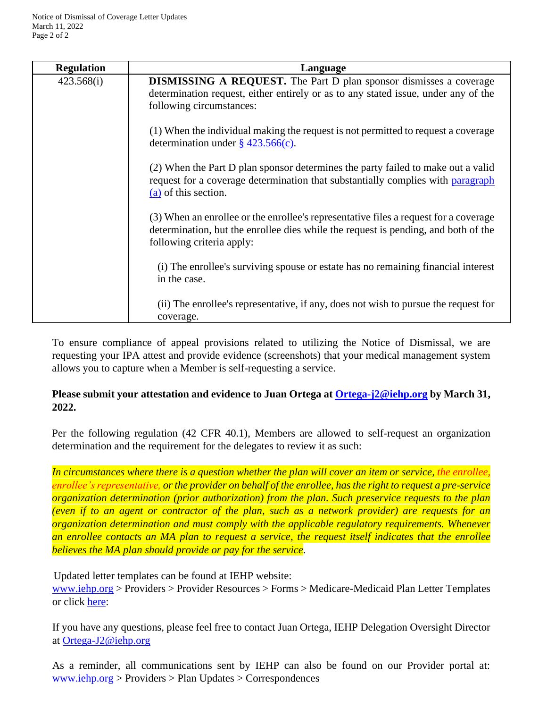| <b>Regulation</b> | Language                                                                                                                                                                                                |
|-------------------|---------------------------------------------------------------------------------------------------------------------------------------------------------------------------------------------------------|
| 423.568(i)        | <b>DISMISSING A REQUEST.</b> The Part D plan sponsor dismisses a coverage<br>determination request, either entirely or as to any stated issue, under any of the<br>following circumstances:             |
|                   | (1) When the individual making the request is not permitted to request a coverage<br>determination under $\frac{8}{9}$ 423.566(c).                                                                      |
|                   | (2) When the Part D plan sponsor determines the party failed to make out a valid<br>request for a coverage determination that substantially complies with paragraph<br>(a) of this section.             |
|                   | (3) When an enrollee or the enrollee's representative files a request for a coverage<br>determination, but the enrollee dies while the request is pending, and both of the<br>following criteria apply: |
|                   | (i) The enrollee's surviving spouse or estate has no remaining financial interest<br>in the case.                                                                                                       |
|                   | (ii) The enrollee's representative, if any, does not wish to pursue the request for<br>coverage.                                                                                                        |

To ensure compliance of appeal provisions related to utilizing the Notice of Dismissal, we are requesting your IPA attest and provide evidence (screenshots) that your medical management system allows you to capture when a Member is self-requesting a service.

## **Please submit your attestation and evidence to Juan Ortega at [Ortega-j2@iehp.org](mailto:Ortega-j2@iehp.org) by March 31, 2022.**

Per the following regulation (42 CFR 40.1), Members are allowed to self-request an organization determination and the requirement for the delegates to review it as such:

*In circumstances where there is a question whether the plan will cover an item or service, the enrollee, enrollee's representative, or the provider on behalf of the enrollee, has the right to request a pre-service organization determination (prior authorization) from the plan. Such preservice requests to the plan (even if to an agent or contractor of the plan, such as a network provider) are requests for an organization determination and must comply with the applicable regulatory requirements. Whenever an enrollee contacts an MA plan to request a service, the request itself indicates that the enrollee believes the MA plan should provide or pay for the service.*

Updated letter templates can be found at IEHP website:

[www.iehp.org](http://www.iehp.org/) > Providers > Provider Resources > Forms > Medicare-Medicaid Plan Letter Templates or click [here:](https://www.iehp.org/en/providers/provider-resources?target=forms#Medicare-Medicaid-Plan-Letter-Templates)

If you have any questions, please feel free to contact Juan Ortega, IEHP Delegation Oversight Director at [Ortega-J2@iehp.org](mailto:Ortega-J2@iehp.org)

As a reminder, all communications sent by IEHP can also be found on our Provider portal at: www.iehp.org > Providers > Plan Updates > Correspondences